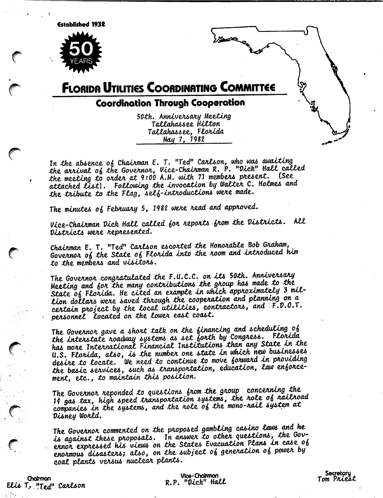**Established 1932** 



# **FLORIDA UTILITIES COORDINATING COMMITTEE**

## Coordination Through Cooperation

50th, Anniversary Meeting Tallahassee Hilton Tallahassee, Florida May 7, 1982

In the absence of Chairman E. T. "Ted" Carlson, who was awaiting the arrival of the Governor, Vice-Chairman R. P. "Dick" Hall called the meeting to order at 9:00 A.M. with 71 members present. (See attached *List*). Following the invocation by Walter C. Holmes and the tribute to the Flag, self-introductions were made.

The minutes of February 5, 1982 were read and approved.

Vice-Chairman Dick Hall called for reports from the Districts. All Districts were represented.

Chairman E. T. "Ted" Carlson escorted the Honorable Bob Graham, Governor of the State of Florida into the room and introduced him to the members and visitors.

The Governor congratulated the F.U.C.C. on its 50th. Anniversary Meeting and for the many contributions the group has made to the State of Florida. He cited an example in which approximately 3 million dollars were saved through the cooperation and planning on a certain project by the local utilities, contractors, and F.D.O.T. personnel located on the lower east coast.

The Governor gave a short talk on the financing and scheduling of the interstate roadway systems as set forth by Congress. Florida has more International Financial Institutions than any State in the U.S. Florida, also, is the number one state in which new businesses. desire to locate. We need to continue to move forward in providing the basic services, such as transportation, education, law enforcement, etc., to maintain this position.

The Governor reponded to questions from the group concerning the It gas tax, high speed transportation systems, the role of railroad companies in the systems, and the role of the mono-rail system at Disney World.

The Governor commented on the proposed gambling casino laws and he is against these proposals. In answer to other questions, the Governor expressed his views on the States Evacuation Plans in case of enonmous disasters; also, on the subject of generation of power by coal plants versus nuclear plants.

Chairman Elis T. "Ted" Carlson

Vice-Chairman R.P. "Dick" Hall

Secretory Tom Priest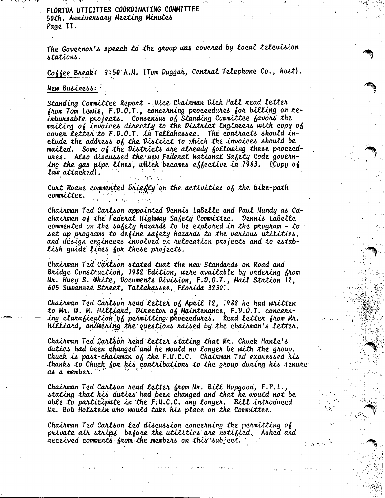FLORIDA UTILITIES COORDINATING COMMITTEE 50th, Anniversary Meeting Minutes Page II.

The Governor's speech to the group was covered by local television stations.

Coffee Break: 9:50 A.M. (Tom Duggar, Central Telephone Co., host).

#### New Business:

Standing Committee Report - Vice-Chairman Dick Hall read letter from Tom Lewis, F.D.O.T., concerning proceedures for billing on reimbursable projects. Consensus of Standing Committee favors the mailing of invoices directly to the District Engineers with copy of cover letter to F.D.O.T. in Tallahassee. The contracts should include the address of the District to which the invoices should be mailed. Some of the Districts are already following these proceedures. Also discussed the new Federal National Safety Code governing the gas pipe lines, which becomes effective in 1983. (Copy of law attached).

Curt Roane commented briefly on the activities of the bike-path committee.

Chairman Ted Carlson appointed Dennis LaBelle and Paul Mundy as Cdchairmen of the Federal Highway Safety Committee. Dennis LaBelle commented on the safety hazards to be explored in the program - to set up programs to define safety hazards to the various utilities. and design engineers involved on relocation projects and to establish guide lines for these projects.

Chairman Ted Carlson stated that the new Standards on Road and Bridge Construction, 1982 Edition, were available by ordering from Mr. Huey S. White, Documents Division, F.D.O.T., Mail Station 12, 605 Suwannee Street, Tallahassee, Florida 32301.

Chairman Ted Carlson read letter of April 12, 1982 he had written to Mr. W. M. Hilliard, Director of Maintenance, F.D.O.T. concerning clarafication'of permitting proceedures. Read letter from Mr. Hilliard, answering the questions raised by the chairman's letter.

Chairman Ted Carlson read letter stating that Mr. Chuck Hanle's duties had been changed and he would no longer be with the group. Chuck is past-chairman of the F.U.C.C. Chairman Ted expressed his thanks to Chuck for his contributions to the group during his tenure as a member.

Chairman Ted Carlson nead letter from Mr. Bill Hopgood, F.P.L., stating that his duties had been changed and that he would not be able to participate in the F.U.C.C. any longer. Bill introduced Mr. Bob Holstein who would take his place on the Committee.

Chairman Ted Carlson led discussion concerning the permitting of private air strips before the utilities are notified. Asked and received comments from the members on this subject.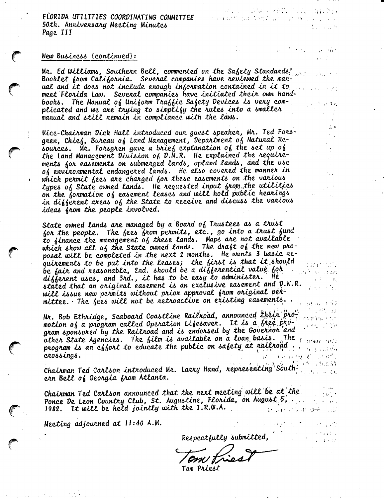FLORIDA UTILITIES COORDINATING COMMITTEE 50th. Anniversary Meeting Minutes Page III

### New Business (continued):

Mr. Ed Williams, Southern Bell, commented on the Safety Standards. Booklet from California. Several companies have reviewed the manual and it does not include enough information contained in it to meet Florida Law. Several companies have initiated their own handbooks. The Manual of Uniform Traffic Safety Devices is very complicated and we are trying to simplify the rules into a smaller manual and still remain in compliance with the laws.

Vice-Chairman Dick Hall introduced our guest speaker, Mr. Ted Forsgren, Chief, Bureau of Land Management, Department of Natural Resources. Mr. Forsgren gave a brief explanation of the set up of the Land Management Division of D.N.R. He explained the require-<br>ments for easements on submerged lands, upland lands, and the use of environmental endangered lands. He also covered the manner in which permit fees are charged for these easements on the various types of State owned lands. He requested input from the utilities on the formation of easement leases and will hold public hearings in different areas of the State to receive and discuss the various ideas from the people involved.

State owned lands are managed by a Board of Trustees as a trust for the people. The fees from permits, etc., go into a trust fund to finance the management of these lands. Maps are not available which show all of the State owned lands. The draft of the new proposal will be completed in the next 2 months. He wants 3 basic requirements to be put into the leases; the first is that it should be fair and reasonable, 2nd. should be a differential value for different uses, and 3rd., it has to be easy to administer. He stated that an original easement is an exclusive easement and D.N.R. will issue new permits without prior approval from original permittee. The fees will not be retroactive on existing easements. 经自动 机空气管子

Mr. Bob Ethridge, Seaboard Coastline Railnoad, announced their pro- $(175596.55)$ motion of a program called Operation Lifesaver. It is a free pro- $\beta \sim 1.18$ gram sponsored by the Railroad and is endorsed by the Governor'and other state Agencies. The film is available on a loan basis. The  $\gamma$  means on program is an effort to educate the public on safety at railroad. crossings. 医动脉动脉 经总计时间

Chairman Ted Carlson introduced Mr. Larry Hand, representing Southern Bell of Georgia from Atlanta.

Chairman Ted Carlson announced that the next meeting will be at the Ponce De Leon Country Club, St. Augustine, Florida, on August 5,  $\mathcal{A}_1$  , and  $\mathcal{A}_2$ 1982. It will be held jointly with the I.R.W.A. (中国語 ほうはいゆせいこぼ

Meeting adjourned at 11:40 A.M.

Respectfully submitted,

Tom Priest

 $\frac{1}{2}$ u

the process of the

 $\gamma$  -ray  $V=\gamma$  (  $\Gamma$ 

وواللاف كا

, where  $\mathcal{O}(\mathcal{O}_\mathcal{C})$  is the contract of the  $\mathcal{O}_\mathcal{C}$ 

**2008年10月11日 1月11日** 

management with the project of the con-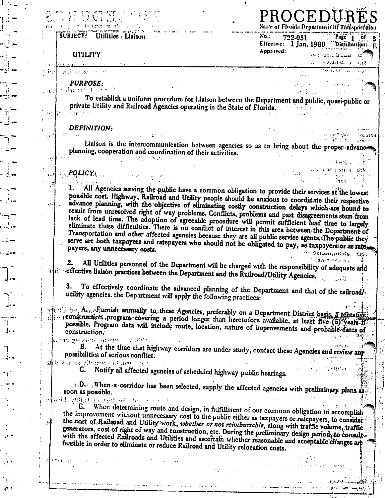#### **SUBJECT!** Utilities - Liaison

#### **UTILITY**

auitomae ch

**PURPOSE:** ط <sup>جن</sup> ہو رہواں ہو

Æ.

To establish a uniform procedure for Liaison between the Department and public, quasi-public or private Utility and Railroad Agencies operating in the State of Florida.  $\mathcal{H}_{\mathcal{A}}$  , and  $\mathcal{H}_{\mathcal{A}}$  , and

PROCEDU

722-051

 $No.$ :

Approved:

State of Florida Department of Timisportation

Effective: 1 Jan. 1980 Distribution:

 $\overline{\text{Page}}_1$ 

الأسقط فالصلاة كالمحادث

・ 火炬 ほぼに ほ

aasta kirjanistostaan. of 3

utt.

 $...$ 

And confort

فيتروا

الوابعين

F.

**DEFINITION:** 

Liaison is the intercommunication between agencies so as to bring about the properhadvano planning, cooperation and coordination of their activitics.

#### POLICY:

All Agencies serving the public have a common obligation to provide their services at the lowest possible cost. Highway, Railroad and Utility people should be anxious to coordinate their respective advance planning, with the objective of eliminating costly construction delays which are bound to result from unresolved right of way problems. Conflicts, problems and past disagreements stem from lack of lead time. The adoption of agreeable procedure will permit sufficient lead time to largely eliminate these difficulties. There is no conflict of interest in this area between the Department of Transportation and other affected agencies because they are all public service agents. The public they serve are both taxpayers and ratepayers who should not be obligated to pay, as taxpayers or as ratex payers, any unnecessary costs. " OCLIDULITO CH 高度的

vanie enemiz All Utilities personnel of the Department will be charged with the responsibility of adequate and 2. when reffective liaison practices between the Department and the Railroad/Utility Agencies.

To effectively coordinate the advanced planning of the Department and that of the railroad/-3. utility agencies, the Department will apply the following practices:

of Hill bet, Asser Furnish annually to these Agencies, preferably on a Department District basis, a tentative construction program covering a period longer than heretofore available, at least five (5) years if possible. Program data will include route, location, nature of improvements and probable dates of construction.

a fina golizona, smrtiger i  $\mathcal{O}_{\mathcal{F}}$  ,  $\mathcal{O}_{\mathcal{F}}$  ,  $\mathcal{O}_{\mathcal{F}}$ 

At the time that highway corridors are under study, contact these Agencies and review any possibilities of serious conflict.

also via ne Aformata et lago es su

Notify all affected agencies of scheduled highway public hearings.

i. D. ... When a corridor has been selected, supply the affected agencies with preliminary plans as soon as possible. alified is real of the channel.

When determining route and design, in fulfillment of our common obligation to accomplish E. the improvement without unnecessary cost to the public either as taxpayers or ratepayers, to consider the cost of Railroad and Utility work, whether or not reimbursable, along with traffic volume, traffic generators, cost of right of way and construction, etc. During the preliminary design period, to consult. with the affected Railroads and Utilities and ascertain whether reasonable and acceptable changes are feasible in order to eliminate or reduce Railroad and Utility relocation costs.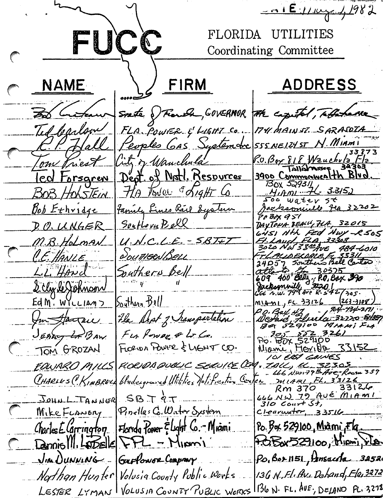$-0.1E$   $11w + 1982$ FUCC FLORIDA UTILITIES Coordinating Committee NAME FIRM **ADDRESS** State Proude, GOVERNOR the cazetal, to behave BD Critian Ted barlow FLA POWER & LIGHT CO 174 MAINST. SARASOTA SSSNEIZYST N. MIAMI Peoples GAS Systemare Hall 33 87 3 RU. Bor 818 Wauchula Fla ity of Wanchula om Friest 38303 Tallamosee Dept. of Not1. Resources 3900 Commonwealth Blud led Forsgren **BOX 529311** HA Tower & Sight Co <u>4,Am 76 3315)</u> BOB HOLSTEIN Foo water 5t Family Lines Rail System <u>Bob Ethridge</u> Jacksonialle fla 32202 PPBAX 951 Southorn Bell DAYTONA BEACH 7LA, 32015 D. O. UNGER 645) NH FED HWY -R 505<br>FL Laud, ELA, 33308<br>3020 NW 38 = Ave 484-6010  $U.N.C.L.E.-SBT E)$ M.B. Holman The Continue of 1987-1997<br>24057 Southers Bell Cartos C.E. HANLE SoutHENBELL L.L. Hand Southern Bell 2 Cly le Johnson Soythern Bell  $EdM. W1LLM2$ <u> MIAML, FL. 33126</u>  $(263 - 3108)$ P.O. Bay 47 84-134-211 Im Hagai He Dept of Inansportation 201 22 3261 Fur Power & Lo Co. JEARY LABAW FLORIDA FOWER & LIGHT CO. TOM GROZAN IU EAST GOINES FLOCIDA QUELLE SECULLE CON , TALL, LL 32305 FOWARO MILLS Chadesground Utilities Notification Center minimum FL, 33126 CHARLES (KIMBRELL  $33126$ Rm 370  $666$   $N\omega$   $79$   $Av & Mn$ JOHNLIANNER  $SBJAT$  $310$  Court St, Pinellas G. Water System MikeFLANERY  $c$ learwater,  $33516$ <u>Po. Box 529100, Miami, Flq.</u> Charles E Carrington  $|F|$ Denniolll, LODELEL FFL - Minomi POBX529100, Mipmi, rien Po, Bor 1151, Ansaccha 32520 JIM DUNNING Guffonge Comprary 13G N. Fl. Av. Dehand, Flo, 3272 Northan Hunter Volusia County Public Works  $1136$  N. FL.  $AUE$ , DELAND PL. 3272 LESTER LYMAN VOLUSIA COUNTY PUBLIC WORKS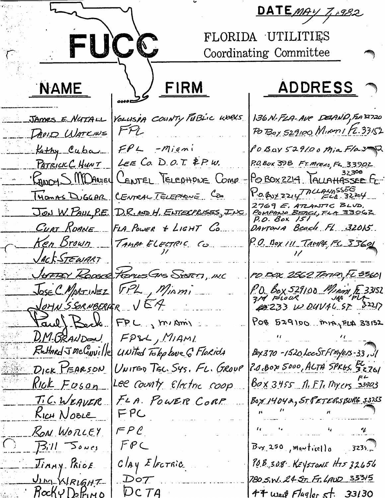DATEMAY 7,0982 FUÇÇ FLORIDA UTILITIES Coordinating Committee FIRM ADDRESS 7 NAME YOLUSA COUNTY PUBLIC WORKS 136 N. FLA-AVE DELANO, FLA 32720 JAmes E NUTALL  $FPL$ Po Boy 529100 Mismi Fc. 33152 DAVID WATKINS  $FPL$  -Miani POBOY 529100 Mia Flaz Kathy Cuba LEE CO. D.O.T.  $kPw$ . P.O. Box 398 FT. MYELS, FL. 33902 PATRICK C. HUNT 32308 POBOX2214 TALLAHASSEE FL Rancy S MDANIEY CENTEL TELEPHONE COMP.  $Po.$  BUY ZZIY MUAMASSES THOMAS DUGGAR CENTRAL TELEPHONE COM 2769 E. ATLANTIC BLVD.<br><u>PonPanie BEACL FLA 33062</u><br>P.O. Box 151 JON W. PAUL, P.E. D.R. AND H. ENTERPRISES, INC. CURT ROANE FLA POWER & LIGHT CO. DAYTONA Beach FL 32015. <u>Ken Brown</u> TAMPA ELECTRIC CO P.O. Box III TAMP4, FL 33691 JACKSTEWART JUTTEY ROOKE FROMES GAS SESTER, INC PD FOX 2562 TATIAN, FL 3360 JOSE C. MARTINEZ FPL, MiAmi P.O. Box 529100 Main E 33152<br>314 FLOCK JAP FLA<br>(2233 W DUVAL 87 32217 JOHN SSORNBERGER VEA Paul Beck FPL, miAmi POB 529100 MAJELA 33152 D.M. BRANDON FPSL, MIAML  $R$ *E* EHARd J Mc Conville Bx 370-1520 LccST. Finyers-33, 31 United Telephone 6 Florida 2.0.Box 5000, ALTA SPR65. BL DICK PEARSON UNITED TEL. SYS. FL. GROUP  $80x3455$  n. F.T. Myers 33903 <u>Rick Foson</u> Lee County Electric Coop FLA. POWER CORP BOY 14042, STPETERSBURG 3323 T.C.WEAVER FPC KICH NOBLE RON WORLEY  $FPC$  $FPC$  $B||15000$  $B_{xx}$  250, may trice() 0. 3235.  $c$ *lay* Electric 90.B 308 KEYSTONE HIS 32656 Jinny Price 780 S.W. 24 ST. FT. LAND 33315 JIM KIRIGHT DOT<br>DC TA  $B$ ocky $D$ elrino  $47$  west Flagler st. 33130